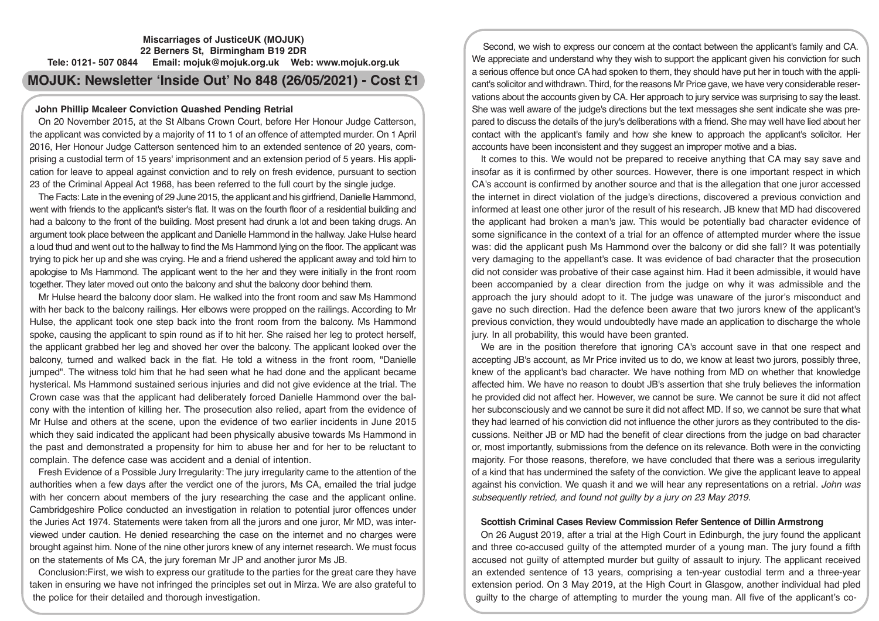# **Miscarriages of JusticeUK (MOJUK) 22 Berners St, Birmingham B19 2DR Tele: 0121- 507 0844 Email: mojuk@mojuk.org.uk Web: www.mojuk.org.uk**

# **MOJUK: Newsletter 'Inside Out' No 848 (26/05/2021) - Cost £1**

# **John Phillip Mcaleer Conviction Quashed Pending Retrial**

On 20 November 2015, at the St Albans Crown Court, before Her Honour Judge Catterson, the applicant was convicted by a majority of 11 to 1 of an offence of attempted murder. On 1 April 2016, Her Honour Judge Catterson sentenced him to an extended sentence of 20 years, comprising a custodial term of 15 years' imprisonment and an extension period of 5 years. His application for leave to appeal against conviction and to rely on fresh evidence, pursuant to section 23 of the Criminal Appeal Act 1968, has been referred to the full court by the single judge.

The Facts: Late in the evening of 29 June 2015, the applicant and his girlfriend, Danielle Hammond, went with friends to the applicant's sister's flat. It was on the fourth floor of a residential building and had a balcony to the front of the building. Most present had drunk a lot and been taking drugs. An argument took place between the applicant and Danielle Hammond in the hallway. Jake Hulse heard a loud thud and went out to the hallway to find the Ms Hammond lying on the floor. The applicant was trying to pick her up and she was crying. He and a friend ushered the applicant away and told him to apologise to Ms Hammond. The applicant went to the her and they were initially in the front room together. They later moved out onto the balcony and shut the balcony door behind them.

Mr Hulse heard the balcony door slam. He walked into the front room and saw Ms Hammond with her back to the balcony railings. Her elbows were propped on the railings. According to Mr Hulse, the applicant took one step back into the front room from the balcony. Ms Hammond spoke, causing the applicant to spin round as if to hit her. She raised her leg to protect herself, the applicant grabbed her leg and shoved her over the balcony. The applicant looked over the balcony, turned and walked back in the flat. He told a witness in the front room, "Danielle jumped". The witness told him that he had seen what he had done and the applicant became hysterical. Ms Hammond sustained serious injuries and did not give evidence at the trial. The Crown case was that the applicant had deliberately forced Danielle Hammond over the balcony with the intention of killing her. The prosecution also relied, apart from the evidence of Mr Hulse and others at the scene, upon the evidence of two earlier incidents in June 2015 which they said indicated the applicant had been physically abusive towards Ms Hammond in the past and demonstrated a propensity for him to abuse her and for her to be reluctant to complain. The defence case was accident and a denial of intention.

Fresh Evidence of a Possible Jury Irregularity: The jury irregularity came to the attention of the authorities when a few days after the verdict one of the jurors, Ms CA, emailed the trial judge with her concern about members of the jury researching the case and the applicant online. Cambridgeshire Police conducted an investigation in relation to potential juror offences under the Juries Act 1974. Statements were taken from all the jurors and one juror, Mr MD, was interviewed under caution. He denied researching the case on the internet and no charges were brought against him. None of the nine other jurors knew of any internet research. We must focus on the statements of Ms CA, the jury foreman Mr JP and another juror Ms JB.

Conclusion:First, we wish to express our gratitude to the parties for the great care they have taken in ensuring we have not infringed the principles set out in Mirza. We are also grateful to the police for their detailed and thorough investigation.

Second, we wish to express our concern at the contact between the applicant's family and CA. We appreciate and understand why they wish to support the applicant given his conviction for such a serious offence but once CA had spoken to them, they should have put her in touch with the applicant's solicitor and withdrawn. Third, for the reasons Mr Price gave, we have very considerable reservations about the accounts given by CA. Her approach to jury service was surprising to say the least. She was well aware of the judge's directions but the text messages she sent indicate she was prepared to discuss the details of the jury's deliberations with a friend. She may well have lied about her contact with the applicant's family and how she knew to approach the applicant's solicitor. Her accounts have been inconsistent and they suggest an improper motive and a bias.

It comes to this. We would not be prepared to receive anything that CA may say save and insofar as it is confirmed by other sources. However, there is one important respect in which CA's account is confirmed by another source and that is the allegation that one juror accessed the internet in direct violation of the judge's directions, discovered a previous conviction and informed at least one other juror of the result of his research. JB knew that MD had discovered the applicant had broken a man's jaw. This would be potentially bad character evidence of some significance in the context of a trial for an offence of attempted murder where the issue was: did the applicant push Ms Hammond over the balcony or did she fall? It was potentially very damaging to the appellant's case. It was evidence of bad character that the prosecution did not consider was probative of their case against him. Had it been admissible, it would have been accompanied by a clear direction from the judge on why it was admissible and the approach the jury should adopt to it. The judge was unaware of the juror's misconduct and gave no such direction. Had the defence been aware that two jurors knew of the applicant's previous conviction, they would undoubtedly have made an application to discharge the whole jury. In all probability, this would have been granted.

We are in the position therefore that ignoring CA's account save in that one respect and accepting JB's account, as Mr Price invited us to do, we know at least two jurors, possibly three, knew of the applicant's bad character. We have nothing from MD on whether that knowledge affected him. We have no reason to doubt JB's assertion that she truly believes the information he provided did not affect her. However, we cannot be sure. We cannot be sure it did not affect her subconsciously and we cannot be sure it did not affect MD. If so, we cannot be sure that what they had learned of his conviction did not influence the other jurors as they contributed to the discussions. Neither JB or MD had the benefit of clear directions from the judge on bad character or, most importantly, submissions from the defence on its relevance. Both were in the convicting majority. For those reasons, therefore, we have concluded that there was a serious irregularity of a kind that has undermined the safety of the conviction. We give the applicant leave to appeal against his conviction. We quash it and we will hear any representations on a retrial. *John was subsequently retried, and found not guilty by a jury on 23 May 2019.*

# **Scottish Criminal Cases Review Commission Refer Sentence of Dillin Armstrong**

On 26 August 2019, after a trial at the High Court in Edinburgh, the jury found the applicant and three co-accused guilty of the attempted murder of a young man. The jury found a fifth accused not guilty of attempted murder but guilty of assault to injury. The applicant received an extended sentence of 13 years, comprising a ten-year custodial term and a three-year extension period. On 3 May 2019, at the High Court in Glasgow, another individual had pled guilty to the charge of attempting to murder the young man. All five of the applicant's co-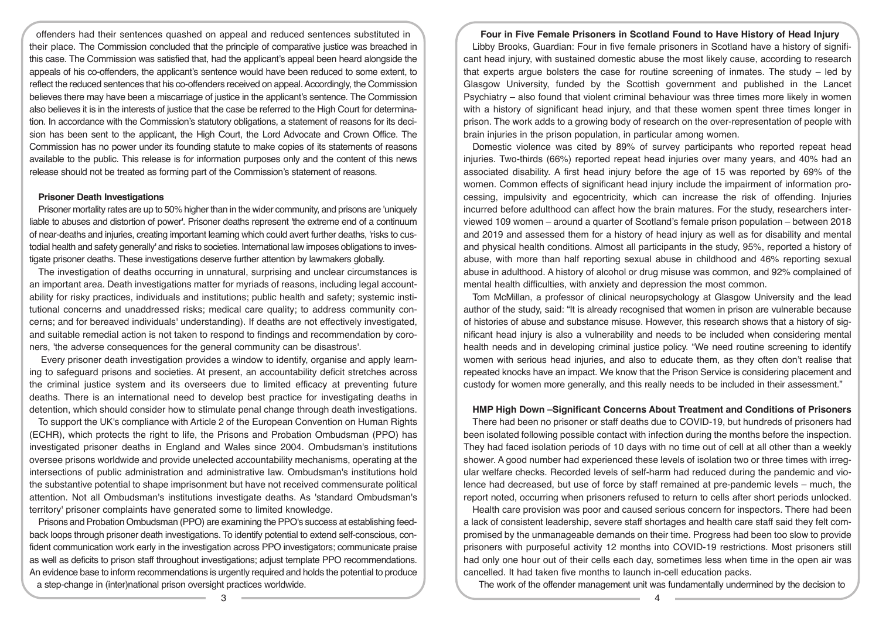offenders had their sentences quashed on appeal and reduced sentences substituted in their place. The Commission concluded that the principle of comparative justice was breached in this case. The Commission was satisfied that, had the applicant's appeal been heard alongside the appeals of his co-offenders, the applicant's sentence would have been reduced to some extent, to reflect the reduced sentences that his co-offenders received on appeal. Accordingly, the Commission believes there may have been a miscarriage of justice in the applicant's sentence. The Commission also believes it is in the interests of justice that the case be referred to the High Court for determination. In accordance with the Commission's statutory obligations, a statement of reasons for its decision has been sent to the applicant, the High Court, the Lord Advocate and Crown Office. The Commission has no power under its founding statute to make copies of its statements of reasons available to the public. This release is for information purposes only and the content of this news release should not be treated as forming part of the Commission's statement of reasons.

### **Prisoner Death Investigations**

Prisoner mortality rates are up to 50% higher than in the wider community, and prisons are 'uniquely liable to abuses and distortion of power'. Prisoner deaths represent 'the extreme end of a continuum of near-deaths and injuries, creating important learning which could avert further deaths, 'risks to custodial health and safety generally' and risks to societies. International law imposes obligations to investigate prisoner deaths. These investigations deserve further attention by lawmakers globally.

The investigation of deaths occurring in unnatural, surprising and unclear circumstances is an important area. Death investigations matter for myriads of reasons, including legal accountability for risky practices, individuals and institutions; public health and safety; systemic institutional concerns and unaddressed risks; medical care quality; to address community concerns; and for bereaved individuals' understanding). If deaths are not effectively investigated, and suitable remedial action is not taken to respond to findings and recommendation by coroners, 'the adverse consequences for the general community can be disastrous'.

 Every prisoner death investigation provides a window to identify, organise and apply learning to safeguard prisons and societies. At present, an accountability deficit stretches across the criminal justice system and its overseers due to limited efficacy at preventing future deaths. There is an international need to develop best practice for investigating deaths in detention, which should consider how to stimulate penal change through death investigations.

To support the UK's compliance with Article 2 of the European Convention on Human Rights (ECHR), which protects the right to life, the Prisons and Probation Ombudsman (PPO) has investigated prisoner deaths in England and Wales since 2004. Ombudsman's institutions oversee prisons worldwide and provide unelected accountability mechanisms, operating at the intersections of public administration and administrative law. Ombudsman's institutions hold the substantive potential to shape imprisonment but have not received commensurate political attention. Not all Ombudsman's institutions investigate deaths. As 'standard Ombudsman's territory' prisoner complaints have generated some to limited knowledge.

Prisons and Probation Ombudsman (PPO) are examining the PPO's success at establishing feedback loops through prisoner death investigations. To identify potential to extend self-conscious, confident communication work early in the investigation across PPO investigators; communicate praise as well as deficits to prison staff throughout investigations; adjust template PPO recommendations. An evidence base to inform recommendations is urgently required and holds the potential to produce a step-change in (inter)national prison oversight practices worldwide.

## **Four in Five Female Prisoners in Scotland Found to Have History of Head Injury**

Libby Brooks, Guardian: Four in five female prisoners in Scotland have a history of significant head injury, with sustained domestic abuse the most likely cause, according to research that experts argue bolsters the case for routine screening of inmates. The study – led by Glasgow University, funded by the Scottish government and published in the Lancet Psychiatry – also found that violent criminal behaviour was three times more likely in women with a history of significant head injury, and that these women spent three times longer in prison. The work adds to a growing body of research on the over-representation of people with brain injuries in the prison population, in particular among women.

Domestic violence was cited by 89% of survey participants who reported repeat head injuries. Two-thirds (66%) reported repeat head injuries over many years, and 40% had an associated disability. A first head injury before the age of 15 was reported by 69% of the women. Common effects of significant head injury include the impairment of information processing, impulsivity and egocentricity, which can increase the risk of offending. Injuries incurred before adulthood can affect how the brain matures. For the study, researchers interviewed 109 women – around a quarter of Scotland's female prison population – between 2018 and 2019 and assessed them for a history of head injury as well as for disability and mental and physical health conditions. Almost all participants in the study, 95%, reported a history of abuse, with more than half reporting sexual abuse in childhood and 46% reporting sexual abuse in adulthood. A history of alcohol or drug misuse was common, and 92% complained of mental health difficulties, with anxiety and depression the most common.

Tom McMillan, a professor of clinical neuropsychology at Glasgow University and the lead author of the study, said: "It is already recognised that women in prison are vulnerable because of histories of abuse and substance misuse. However, this research shows that a history of significant head injury is also a vulnerability and needs to be included when considering mental health needs and in developing criminal justice policy. "We need routine screening to identify women with serious head injuries, and also to educate them, as they often don't realise that repeated knocks have an impact. We know that the Prison Service is considering placement and custody for women more generally, and this really needs to be included in their assessment."

## **HMP High Down –Significant Concerns About Treatment and Conditions of Prisoners**

There had been no prisoner or staff deaths due to COVID-19, but hundreds of prisoners had been isolated following possible contact with infection during the months before the inspection. They had faced isolation periods of 10 days with no time out of cell at all other than a weekly shower. A good number had experienced these levels of isolation two or three times with irregular welfare checks. Recorded levels of self-harm had reduced during the pandemic and violence had decreased, but use of force by staff remained at pre-pandemic levels – much, the report noted, occurring when prisoners refused to return to cells after short periods unlocked.

Health care provision was poor and caused serious concern for inspectors. There had been a lack of consistent leadership, severe staff shortages and health care staff said they felt compromised by the unmanageable demands on their time. Progress had been too slow to provide prisoners with purposeful activity 12 months into COVID-19 restrictions. Most prisoners still had only one hour out of their cells each day, sometimes less when time in the open air was cancelled. It had taken five months to launch in-cell education packs.

The work of the offender management unit was fundamentally undermined by the decision to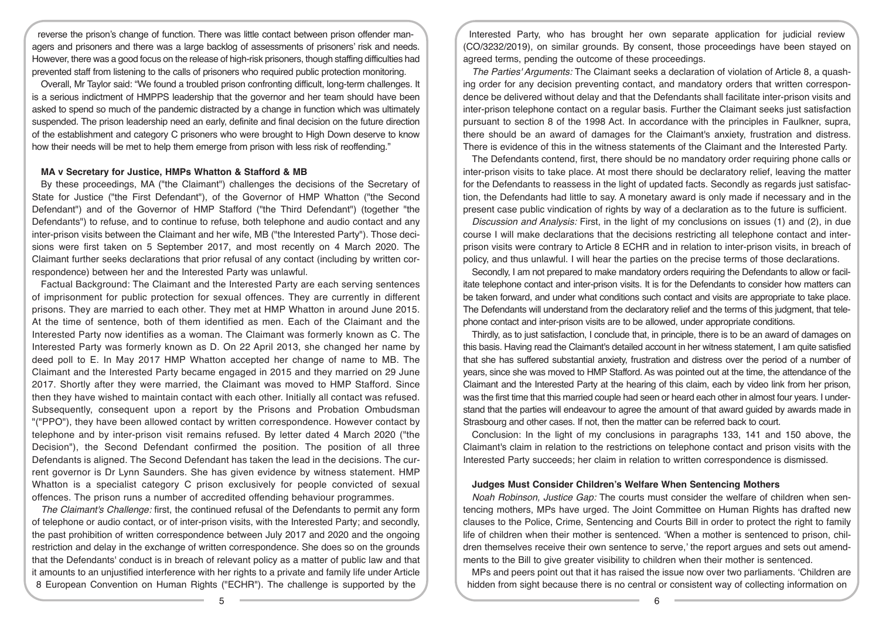reverse the prison's change of function. There was little contact between prison offender managers and prisoners and there was a large backlog of assessments of prisoners' risk and needs. However, there was a good focus on the release of high-risk prisoners, though staffing difficulties had prevented staff from listening to the calls of prisoners who required public protection monitoring.

Overall, Mr Taylor said: "We found a troubled prison confronting difficult, long-term challenges. It is a serious indictment of HMPPS leadership that the governor and her team should have been asked to spend so much of the pandemic distracted by a change in function which was ultimately suspended. The prison leadership need an early, definite and final decision on the future direction of the establishment and category C prisoners who were brought to High Down deserve to know how their needs will be met to help them emerge from prison with less risk of reoffending."

#### **MA v Secretary for Justice, HMPs Whatton & Stafford & MB**

By these proceedings, MA ("the Claimant") challenges the decisions of the Secretary of State for Justice ("the First Defendant"), of the Governor of HMP Whatton ("the Second Defendant") and of the Governor of HMP Stafford ("the Third Defendant") (together "the Defendants") to refuse, and to continue to refuse, both telephone and audio contact and any inter-prison visits between the Claimant and her wife, MB ("the Interested Party"). Those decisions were first taken on 5 September 2017, and most recently on 4 March 2020. The Claimant further seeks declarations that prior refusal of any contact (including by written correspondence) between her and the Interested Party was unlawful.

Factual Background: The Claimant and the Interested Party are each serving sentences of imprisonment for public protection for sexual offences. They are currently in different prisons. They are married to each other. They met at HMP Whatton in around June 2015. At the time of sentence, both of them identified as men. Each of the Claimant and the Interested Party now identifies as a woman. The Claimant was formerly known as C. The Interested Party was formerly known as D. On 22 April 2013, she changed her name by deed poll to E. In May 2017 HMP Whatton accepted her change of name to MB. The Claimant and the Interested Party became engaged in 2015 and they married on 29 June 2017. Shortly after they were married, the Claimant was moved to HMP Stafford. Since then they have wished to maintain contact with each other. Initially all contact was refused. Subsequently, consequent upon a report by the Prisons and Probation Ombudsman "("PPO"), they have been allowed contact by written correspondence. However contact by telephone and by inter-prison visit remains refused. By letter dated 4 March 2020 ("the Decision"), the Second Defendant confirmed the position. The position of all three Defendants is aligned. The Second Defendant has taken the lead in the decisions. The current governor is Dr Lynn Saunders. She has given evidence by witness statement. HMP Whatton is a specialist category C prison exclusively for people convicted of sexual offences. The prison runs a number of accredited offending behaviour programmes.

*The Claimant's Challenge:* first, the continued refusal of the Defendants to permit any form of telephone or audio contact, or of inter-prison visits, with the Interested Party; and secondly, the past prohibition of written correspondence between July 2017 and 2020 and the ongoing restriction and delay in the exchange of written correspondence. She does so on the grounds that the Defendants' conduct is in breach of relevant policy as a matter of public law and that it amounts to an unjustified interference with her rights to a private and family life under Article 8 European Convention on Human Rights ("ECHR"). The challenge is supported by the

Interested Party, who has brought her own separate application for judicial review (CO/3232/2019), on similar grounds. By consent, those proceedings have been stayed on agreed terms, pending the outcome of these proceedings.

*The Parties' Arguments:* The Claimant seeks a declaration of violation of Article 8, a quashing order for any decision preventing contact, and mandatory orders that written correspondence be delivered without delay and that the Defendants shall facilitate inter-prison visits and inter-prison telephone contact on a regular basis. Further the Claimant seeks just satisfaction pursuant to section 8 of the 1998 Act. In accordance with the principles in Faulkner, supra, there should be an award of damages for the Claimant's anxiety, frustration and distress. There is evidence of this in the witness statements of the Claimant and the Interested Party.

The Defendants contend, first, there should be no mandatory order requiring phone calls or inter-prison visits to take place. At most there should be declaratory relief, leaving the matter for the Defendants to reassess in the light of updated facts. Secondly as regards just satisfaction, the Defendants had little to say. A monetary award is only made if necessary and in the present case public vindication of rights by way of a declaration as to the future is sufficient.

*Discussion and Analysis:* First, in the light of my conclusions on issues (1) and (2), in due course I will make declarations that the decisions restricting all telephone contact and interprison visits were contrary to Article 8 ECHR and in relation to inter-prison visits, in breach of policy, and thus unlawful. I will hear the parties on the precise terms of those declarations.

Secondly, I am not prepared to make mandatory orders requiring the Defendants to allow or facilitate telephone contact and inter-prison visits. It is for the Defendants to consider how matters can be taken forward, and under what conditions such contact and visits are appropriate to take place. The Defendants will understand from the declaratory relief and the terms of this judgment, that telephone contact and inter-prison visits are to be allowed, under appropriate conditions.

Thirdly, as to just satisfaction, I conclude that, in principle, there is to be an award of damages on this basis. Having read the Claimant's detailed account in her witness statement, I am quite satisfied that she has suffered substantial anxiety, frustration and distress over the period of a number of years, since she was moved to HMP Stafford. As was pointed out at the time, the attendance of the Claimant and the Interested Party at the hearing of this claim, each by video link from her prison, was the first time that this married couple had seen or heard each other in almost four years. I understand that the parties will endeavour to agree the amount of that award guided by awards made in Strasbourg and other cases. If not, then the matter can be referred back to court.

Conclusion: In the light of my conclusions in paragraphs 133, 141 and 150 above, the Claimant's claim in relation to the restrictions on telephone contact and prison visits with the Interested Party succeeds; her claim in relation to written correspondence is dismissed.

#### **Judges Must Consider Children's Welfare When Sentencing Mothers**

*Noah Robinson, Justice Gap:* The courts must consider the welfare of children when sentencing mothers, MPs have urged. The Joint Committee on Human Rights has drafted new clauses to the Police, Crime, Sentencing and Courts Bill in order to protect the right to family life of children when their mother is sentenced. 'When a mother is sentenced to prison, children themselves receive their own sentence to serve,' the report argues and sets out amendments to the Bill to give greater visibility to children when their mother is sentenced.

MPs and peers point out that it has raised the issue now over two parliaments. 'Children are hidden from sight because there is no central or consistent way of collecting information on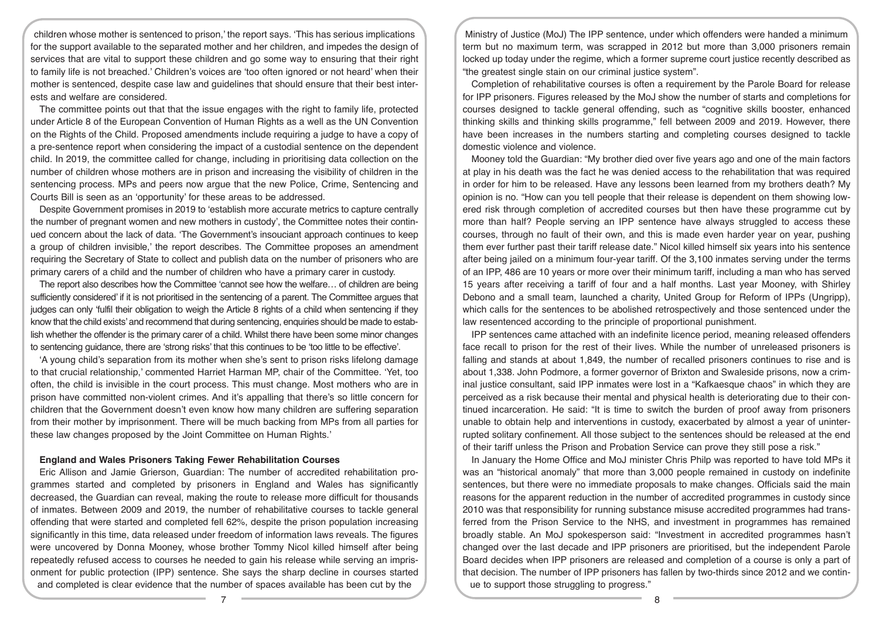children whose mother is sentenced to prison,' the report says. 'This has serious implications for the support available to the separated mother and her children, and impedes the design of services that are vital to support these children and go some way to ensuring that their right to family life is not breached.' Children's voices are 'too often ignored or not heard' when their mother is sentenced, despite case law and guidelines that should ensure that their best interests and welfare are considered.

The committee points out that that the issue engages with the right to family life, protected under Article 8 of the European Convention of Human Rights as a well as the UN Convention on the Rights of the Child. Proposed amendments include requiring a judge to have a copy of a pre-sentence report when considering the impact of a custodial sentence on the dependent child. In 2019, the committee called for change, including in prioritising data collection on the number of children whose mothers are in prison and increasing the visibility of children in the sentencing process. MPs and peers now argue that the new Police, Crime, Sentencing and Courts Bill is seen as an 'opportunity' for these areas to be addressed.

Despite Government promises in 2019 to 'establish more accurate metrics to capture centrally the number of pregnant women and new mothers in custody', the Committee notes their continued concern about the lack of data. 'The Government's insouciant approach continues to keep a group of children invisible,' the report describes. The Committee proposes an amendment requiring the Secretary of State to collect and publish data on the number of prisoners who are primary carers of a child and the number of children who have a primary carer in custody.

The report also describes how the Committee 'cannot see how the welfare… of children are being sufficiently considered' if it is not prioritised in the sentencing of a parent. The Committee argues that judges can only 'fulfil their obligation to weigh the Article 8 rights of a child when sentencing if they know that the child exists' and recommend that during sentencing, enquiries should be made to establish whether the offender is the primary carer of a child. Whilst there have been some minor changes to sentencing guidance, there are 'strong risks' that this continues to be 'too little to be effective'.

'A young child's separation from its mother when she's sent to prison risks lifelong damage to that crucial relationship,' commented Harriet Harman MP, chair of the Committee. 'Yet, too often, the child is invisible in the court process. This must change. Most mothers who are in prison have committed non-violent crimes. And it's appalling that there's so little concern for children that the Government doesn't even know how many children are suffering separation from their mother by imprisonment. There will be much backing from MPs from all parties for these law changes proposed by the Joint Committee on Human Rights.'

## **England and Wales Prisoners Taking Fewer Rehabilitation Courses**

Eric Allison and Jamie Grierson, Guardian: The number of accredited rehabilitation programmes started and completed by prisoners in England and Wales has significantly decreased, the Guardian can reveal, making the route to release more difficult for thousands of inmates. Between 2009 and 2019, the number of rehabilitative courses to tackle general offending that were started and completed fell 62%, despite the prison population increasing significantly in this time, data released under freedom of information laws reveals. The figures were uncovered by Donna Mooney, whose brother Tommy Nicol killed himself after being repeatedly refused access to courses he needed to gain his release while serving an imprisonment for public protection (IPP) sentence. She says the sharp decline in courses started and completed is clear evidence that the number of spaces available has been cut by the

Ministry of Justice (MoJ) The IPP sentence, under which offenders were handed a minimum term but no maximum term, was scrapped in 2012 but more than 3,000 prisoners remain locked up today under the regime, which a former supreme court justice recently described as "the greatest single stain on our criminal justice system".

Completion of rehabilitative courses is often a requirement by the Parole Board for release for IPP prisoners. Figures released by the MoJ show the number of starts and completions for courses designed to tackle general offending, such as "cognitive skills booster, enhanced thinking skills and thinking skills programme," fell between 2009 and 2019. However, there have been increases in the numbers starting and completing courses designed to tackle domestic violence and violence.

Mooney told the Guardian: "My brother died over five years ago and one of the main factors at play in his death was the fact he was denied access to the rehabilitation that was required in order for him to be released. Have any lessons been learned from my brothers death? My opinion is no. "How can you tell people that their release is dependent on them showing lowered risk through completion of accredited courses but then have these programme cut by more than half? People serving an IPP sentence have always struggled to access these courses, through no fault of their own, and this is made even harder year on year, pushing them ever further past their tariff release date." Nicol killed himself six years into his sentence after being jailed on a minimum four-year tariff. Of the 3,100 inmates serving under the terms of an IPP, 486 are 10 years or more over their minimum tariff, including a man who has served 15 years after receiving a tariff of four and a half months. Last year Mooney, with Shirley Debono and a small team, launched a charity, United Group for Reform of IPPs (Ungripp), which calls for the sentences to be abolished retrospectively and those sentenced under the law resentenced according to the principle of proportional punishment.

IPP sentences came attached with an indefinite licence period, meaning released offenders face recall to prison for the rest of their lives. While the number of unreleased prisoners is falling and stands at about 1,849, the number of recalled prisoners continues to rise and is about 1,338. John Podmore, a former governor of Brixton and Swaleside prisons, now a criminal justice consultant, said IPP inmates were lost in a "Kafkaesque chaos" in which they are perceived as a risk because their mental and physical health is deteriorating due to their continued incarceration. He said: "It is time to switch the burden of proof away from prisoners unable to obtain help and interventions in custody, exacerbated by almost a year of uninterrupted solitary confinement. All those subject to the sentences should be released at the end of their tariff unless the Prison and Probation Service can prove they still pose a risk."

In January the Home Office and MoJ minister Chris Philp was reported to have told MPs it was an "historical anomaly" that more than 3,000 people remained in custody on indefinite sentences, but there were no immediate proposals to make changes. Officials said the main reasons for the apparent reduction in the number of accredited programmes in custody since 2010 was that responsibility for running substance misuse accredited programmes had transferred from the Prison Service to the NHS, and investment in programmes has remained broadly stable. An MoJ spokesperson said: "Investment in accredited programmes hasn't changed over the last decade and IPP prisoners are prioritised, but the independent Parole Board decides when IPP prisoners are released and completion of a course is only a part of that decision. The number of IPP prisoners has fallen by two-thirds since 2012 and we continue to support those struggling to progress."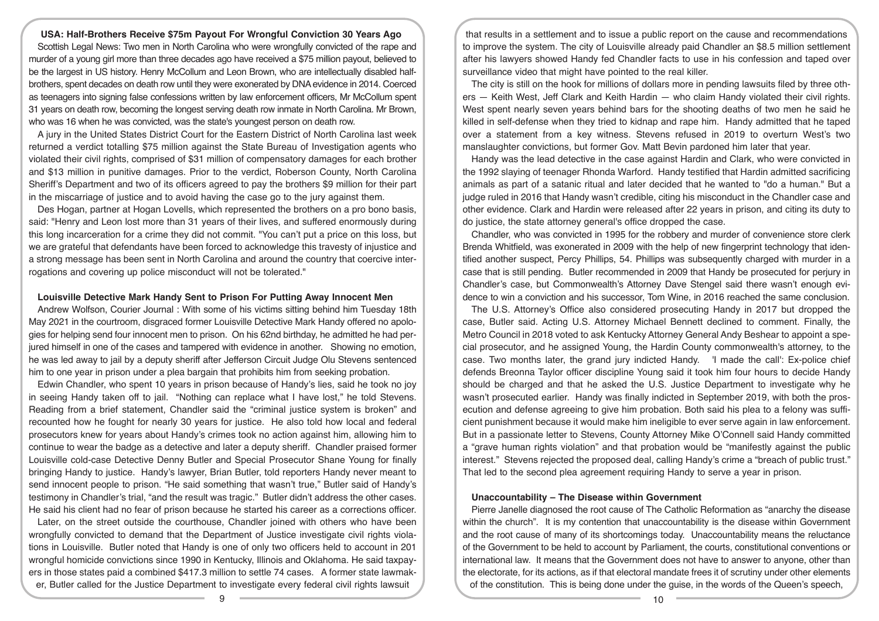#### **USA: Half-Brothers Receive \$75m Payout For Wrongful Conviction 30 Years Ago**

Scottish Legal News: Two men in North Carolina who were wrongfully convicted of the rape and murder of a young girl more than three decades ago have received a \$75 million payout, believed to be the largest in US history. Henry McCollum and Leon Brown, who are intellectually disabled halfbrothers, spent decades on death row until they were exonerated by DNA evidence in 2014. Coerced as teenagers into signing false confessions written by law enforcement officers, Mr McCollum spent 31 years on death row, becoming the longest serving death row inmate in North Carolina. Mr Brown, who was 16 when he was convicted, was the state's youngest person on death row.

A jury in the United States District Court for the Eastern District of North Carolina last week returned a verdict totalling \$75 million against the State Bureau of Investigation agents who violated their civil rights, comprised of \$31 million of compensatory damages for each brother and \$13 million in punitive damages. Prior to the verdict, Roberson County, North Carolina Sheriff's Department and two of its officers agreed to pay the brothers \$9 million for their part in the miscarriage of justice and to avoid having the case go to the jury against them.

Des Hogan, partner at Hogan Lovells, which represented the brothers on a pro bono basis, said: "Henry and Leon lost more than 31 years of their lives, and suffered enormously during this long incarceration for a crime they did not commit. "You can't put a price on this loss, but we are grateful that defendants have been forced to acknowledge this travesty of injustice and a strong message has been sent in North Carolina and around the country that coercive interrogations and covering up police misconduct will not be tolerated."

#### **Louisville Detective Mark Handy Sent to Prison For Putting Away Innocent Men**

Andrew Wolfson, Courier Journal : With some of his victims sitting behind him Tuesday 18th May 2021 in the courtroom, disgraced former Louisville Detective Mark Handy offered no apologies for helping send four innocent men to prison. On his 62nd birthday, he admitted he had perjured himself in one of the cases and tampered with evidence in another. Showing no emotion, he was led away to jail by a deputy sheriff after Jefferson Circuit Judge Olu Stevens sentenced him to one year in prison under a plea bargain that prohibits him from seeking probation.

Edwin Chandler, who spent 10 years in prison because of Handy's lies, said he took no joy in seeing Handy taken off to jail. "Nothing can replace what I have lost," he told Stevens. Reading from a brief statement, Chandler said the "criminal justice system is broken" and recounted how he fought for nearly 30 years for justice. He also told how local and federal prosecutors knew for years about Handy's crimes took no action against him, allowing him to continue to wear the badge as a detective and later a deputy sheriff. Chandler praised former Louisville cold-case Detective Denny Butler and Special Prosecutor Shane Young for finally bringing Handy to justice. Handy's lawyer, Brian Butler, told reporters Handy never meant to send innocent people to prison. "He said something that wasn't true," Butler said of Handy's testimony in Chandler's trial, "and the result was tragic." Butler didn't address the other cases. He said his client had no fear of prison because he started his career as a corrections officer.

Later, on the street outside the courthouse, Chandler joined with others who have been wrongfully convicted to demand that the Department of Justice investigate civil rights violations in Louisville. Butler noted that Handy is one of only two officers held to account in 201 wrongful homicide convictions since 1990 in Kentucky, Illinois and Oklahoma. He said taxpayers in those states paid a combined \$417.3 million to settle 74 cases. A former state lawmaker. Butler called for the Justice Department to investigate every federal civil rights lawsuit

that results in a settlement and to issue a public report on the cause and recommendations to improve the system. The city of Louisville already paid Chandler an \$8.5 million settlement after his lawyers showed Handy fed Chandler facts to use in his confession and taped over surveillance video that might have pointed to the real killer.

The city is still on the hook for millions of dollars more in pending lawsuits filed by three others — Keith West, Jeff Clark and Keith Hardin — who claim Handy violated their civil rights. West spent nearly seven years behind bars for the shooting deaths of two men he said he killed in self-defense when they tried to kidnap and rape him. Handy admitted that he taped over a statement from a key witness. Stevens refused in 2019 to overturn West's two manslaughter convictions, but former Gov. Matt Bevin pardoned him later that year.

Handy was the lead detective in the case against Hardin and Clark, who were convicted in the 1992 slaying of teenager Rhonda Warford. Handy testified that Hardin admitted sacrificing animals as part of a satanic ritual and later decided that he wanted to "do a human." But a judge ruled in 2016 that Handy wasn't credible, citing his misconduct in the Chandler case and other evidence. Clark and Hardin were released after 22 years in prison, and citing its duty to do justice, the state attorney general's office dropped the case.

Chandler, who was convicted in 1995 for the robbery and murder of convenience store clerk Brenda Whitfield, was exonerated in 2009 with the help of new fingerprint technology that identified another suspect, Percy Phillips, 54. Phillips was subsequently charged with murder in a case that is still pending. Butler recommended in 2009 that Handy be prosecuted for perjury in Chandler's case, but Commonwealth's Attorney Dave Stengel said there wasn't enough evidence to win a conviction and his successor, Tom Wine, in 2016 reached the same conclusion.

The U.S. Attorney's Office also considered prosecuting Handy in 2017 but dropped the case, Butler said. Acting U.S. Attorney Michael Bennett declined to comment. Finally, the Metro Council in 2018 voted to ask Kentucky Attorney General Andy Beshear to appoint a special prosecutor, and he assigned Young, the Hardin County commonwealth's attorney, to the case. Two months later, the grand jury indicted Handy. 'I made the call': Ex-police chief defends Breonna Taylor officer discipline Young said it took him four hours to decide Handy should be charged and that he asked the U.S. Justice Department to investigate why he wasn't prosecuted earlier. Handy was finally indicted in September 2019, with both the prosecution and defense agreeing to give him probation. Both said his plea to a felony was sufficient punishment because it would make him ineligible to ever serve again in law enforcement. But in a passionate letter to Stevens, County Attorney Mike O'Connell said Handy committed a "grave human rights violation" and that probation would be "manifestly against the public interest." Stevens rejected the proposed deal, calling Handy's crime a "breach of public trust." That led to the second plea agreement requiring Handy to serve a year in prison.

# **Unaccountability – The Disease within Government**

Pierre Janelle diagnosed the root cause of The Catholic Reformation as "anarchy the disease within the church". It is my contention that unaccountability is the disease within Government and the root cause of many of its shortcomings today. Unaccountability means the reluctance of the Government to be held to account by Parliament, the courts, constitutional conventions or international law. It means that the Government does not have to answer to anyone, other than the electorate, for its actions, as if that electoral mandate frees it of scrutiny under other elements of the constitution. This is being done under the guise, in the words of the Queen's speech,